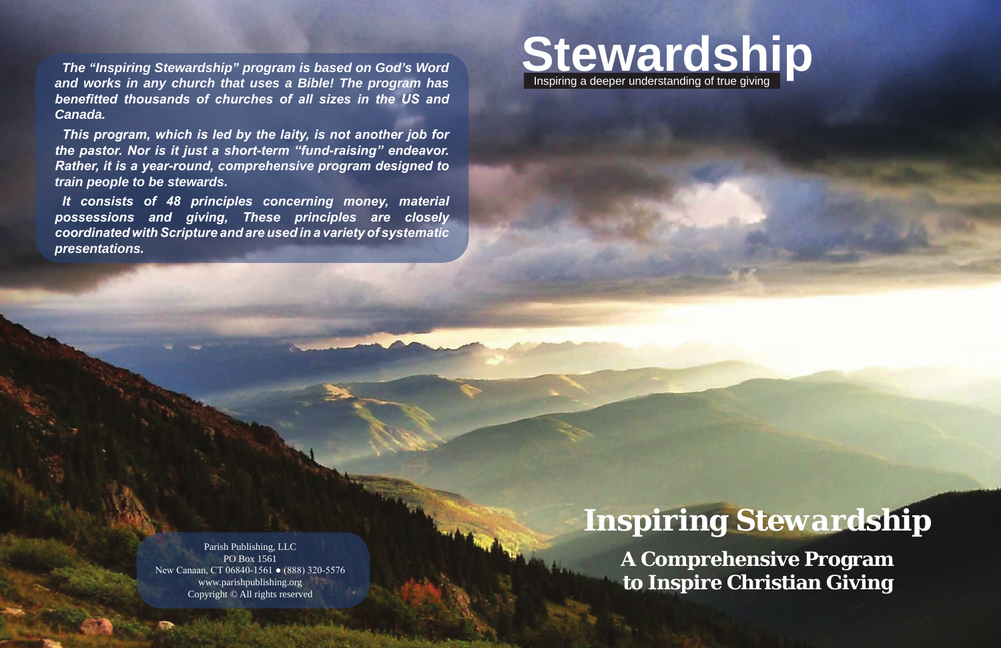

# *Inspiring Stewardship*

**A Comprehensive Program to Inspire Christian Giving**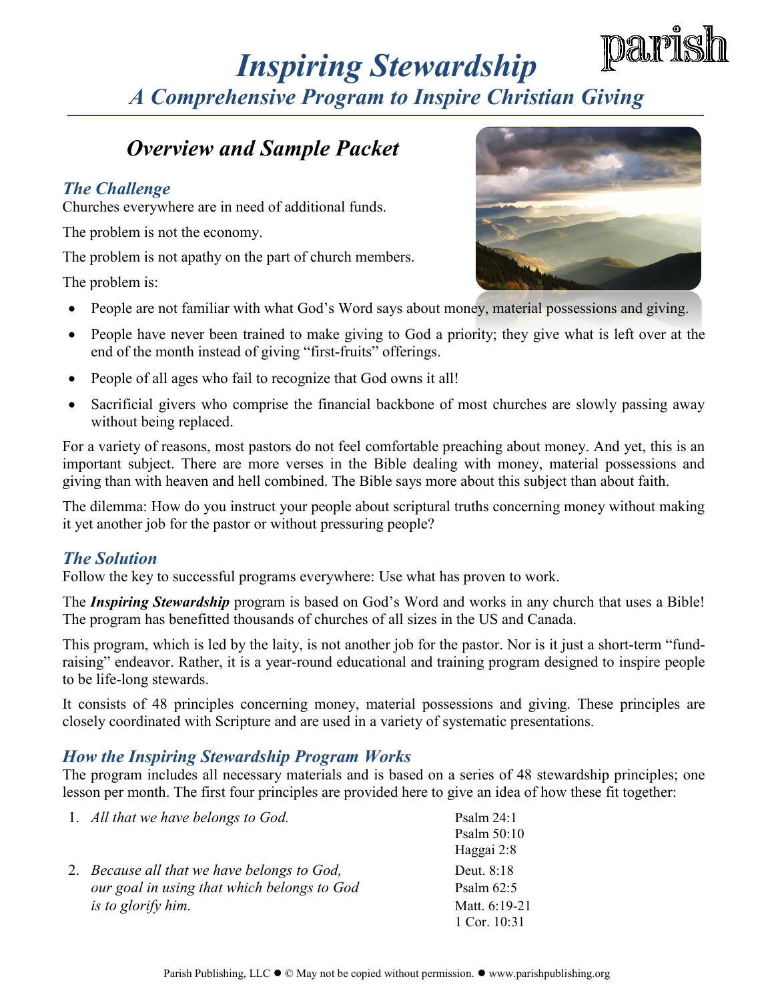### *Overview and Sample Packet*

### *The Challenge*

Churches everywhere are in need of additional funds.

The problem is not the economy.

The problem is not apathy on the part of church members.

The problem is:



- People are not familiar with what God's Word says about money, material possessions and giving.
- People have never been trained to make giving to God a priority; they give what is left over at the end of the month instead of giving "first-fruits" offerings.
- People of all ages who fail to recognize that God owns it all!
- Sacrificial givers who comprise the financial backbone of most churches are slowly passing away without being replaced.

For a variety of reasons, most pastors do not feel comfortable preaching about money. And yet, this is an important subject. There are more verses in the Bible dealing with money, material possessions and giving than with heaven and hell combined. The Bible says more about this subject than about faith.

The dilemma: How do you instruct your people about scriptural truths concerning money without making it yet another job for the pastor or without pressuring people?

### *The Solution*

Follow the key to successful programs everywhere: Use what has proven to work.

The *Inspiring Stewardship* program is based on God's Word and works in any church that uses a Bible! The program has benefitted thousands of churches of all sizes in the US and Canada.

This program, which is led by the laity, is not another job for the pastor. Nor is it just a short-term "fundraising" endeavor. Rather, it is a year-round educational and training program designed to inspire people to be life-long stewards.

It consists of 48 principles concerning money, material possessions and giving. These principles are closely coordinated with Scripture and are used in a variety of systematic presentations.

#### *How the Inspiring Stewardship Program Works*

The program includes all necessary materials and is based on a series of 48 stewardship principles; one lesson per month. The first four principles are provided here to give an idea of how these fit together:

| 1. All that we have belongs to God.         | Psalm $24:1$<br>Psalm 50:10 |
|---------------------------------------------|-----------------------------|
|                                             | Haggai 2:8                  |
| 2. Because all that we have belongs to God, | Deut. 8:18                  |
| our goal in using that which belongs to God | Psalm $62:5$                |
| is to glorify him.                          | Matt. 6:19-21               |
|                                             | 1 Cor. 10:31                |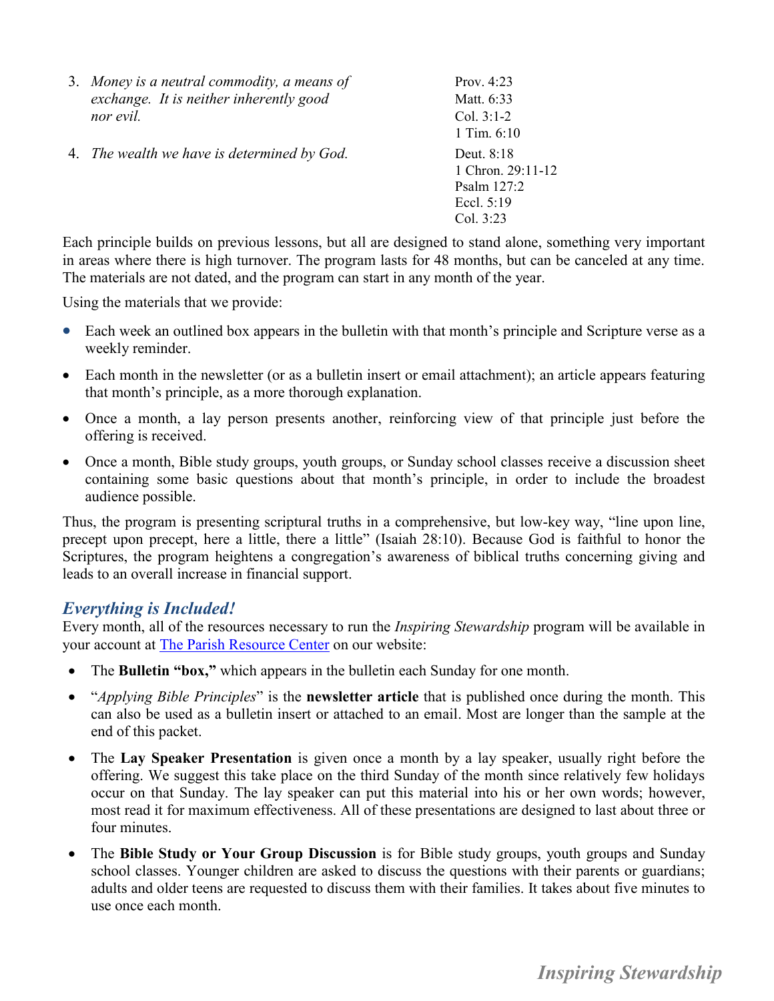| 3. Money is a neutral commodity, a means of | Prov. $4:23$                                                                |
|---------------------------------------------|-----------------------------------------------------------------------------|
| exchange. It is neither inherently good     | Matt. 6:33                                                                  |
| nor evil.                                   | Col. $3:1-2$                                                                |
|                                             | 1 Tim. $6:10$                                                               |
| 4. The wealth we have is determined by God. | Deut. 8:18<br>1 Chron. $29:11-12$<br>Psalm 127:2<br>Eccl. 5:19<br>Col. 3:23 |
|                                             |                                                                             |

Each principle builds on previous lessons, but all are designed to stand alone, something very important in areas where there is high turnover. The program lasts for 48 months, but can be canceled at any time. The materials are not dated, and the program can start in any month of the year.

Using the materials that we provide:

- Each week an outlined box appears in the bulletin with that month's principle and Scripture verse as a weekly reminder.
- Each month in the newsletter (or as a bulletin insert or email attachment); an article appears featuring that month's principle, as a more thorough explanation.
- Once a month, a lay person presents another, reinforcing view of that principle just before the offering is received.
- Once a month, Bible study groups, youth groups, or Sunday school classes receive a discussion sheet containing some basic questions about that month's principle, in order to include the broadest audience possible.

Thus, the program is presenting scriptural truths in a comprehensive, but low-key way, "line upon line, precept upon precept, here a little, there a little" (Isaiah 28:10). Because God is faithful to honor the Scriptures, the program heightens a congregation's awareness of biblical truths concerning giving and leads to an overall increase in financial support.

#### *Everything is Included!*

Every month, all of the resources necessary to run the *Inspiring Stewardship* program will be available in your account at [The Parish Resource Center](https://www.parishpublishing.org/resourcecenter/default.asp) on our website:

- The **Bulletin "box,"** which appears in the bulletin each Sunday for one month.
- "*Applying Bible Principles*" is the **newsletter article** that is published once during the month. This can also be used as a bulletin insert or attached to an email. Most are longer than the sample at the end of this packet.
- The **Lay Speaker Presentation** is given once a month by a lay speaker, usually right before the offering. We suggest this take place on the third Sunday of the month since relatively few holidays occur on that Sunday. The lay speaker can put this material into his or her own words; however, most read it for maximum effectiveness. All of these presentations are designed to last about three or four minutes.
- The **Bible Study or Your Group Discussion** is for Bible study groups, youth groups and Sunday school classes. Younger children are asked to discuss the questions with their parents or guardians; adults and older teens are requested to discuss them with their families. It takes about five minutes to use once each month.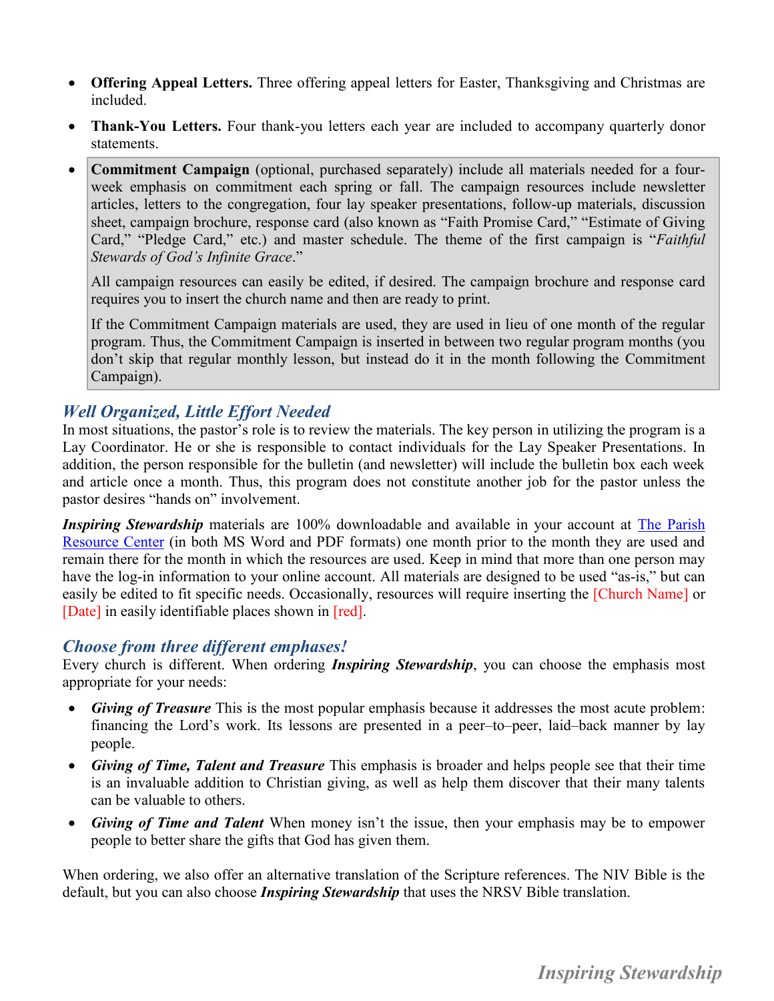- **Offering Appeal Letters.** Three offering appeal letters for Easter, Thanksgiving and Christmas are included.
- **Thank-You Letters.** Four thank-you letters each year are included to accompany quarterly donor statements.
- **Commitment Campaign** (optional, purchased separately) include all materials needed for a fourweek emphasis on commitment each spring or fall. The campaign resources include newsletter articles, letters to the congregation, four lay speaker presentations, follow-up materials, discussion sheet, campaign brochure, response card (also known as "Faith Promise Card," "Estimate of Giving Card," "Pledge Card," etc.) and master schedule. The theme of the first campaign is "*Faithful Stewards of God's Infinite Grace*."

All campaign resources can easily be edited, if desired. The campaign brochure and response card requires you to insert the church name and then are ready to print.

If the Commitment Campaign materials are used, they are used in lieu of one month of the regular program. Thus, the Commitment Campaign is inserted in between two regular program months (you don't skip that regular monthly lesson, but instead do it in the month following the Commitment Campaign).

### *Well Organized, Little Effort Needed*

In most situations, the pastor's role is to review the materials. The key person in utilizing the program is a Lay Coordinator. He or she is responsible to contact individuals for the Lay Speaker Presentations. In addition, the person responsible for the bulletin (and newsletter) will include the bulletin box each week and article once a month. Thus, this program does not constitute another job for the pastor unless the pastor desires "hands on" involvement.

*Inspiring Stewardship* materials are 100% downloadable and available in your account at The Parish [Resource Center](https://www.parishpublishing.org/resourcecenter/default.asp) (in both MS Word and PDF formats) one month prior to the month they are used and remain there for the month in which the resources are used. Keep in mind that more than one person may have the log-in information to your online account. All materials are designed to be used "as-is," but can easily be edited to fit specific needs. Occasionally, resources will require inserting the [Church Name] or [Date] in easily identifiable places shown in [red].

#### *Choose from three different emphases!*

Every church is different. When ordering *Inspiring Stewardship*, you can choose the emphasis most appropriate for your needs:

- *Giving of Treasure* This is the most popular emphasis because it addresses the most acute problem: financing the Lord's work. Its lessons are presented in a peer–to–peer, laid–back manner by lay people.
- *Giving of Time, Talent and Treasure* This emphasis is broader and helps people see that their time is an invaluable addition to Christian giving, as well as help them discover that their many talents can be valuable to others.
- *Giving of Time and Talent* When money isn't the issue, then your emphasis may be to empower people to better share the gifts that God has given them.

When ordering, we also offer an alternative translation of the Scripture references. The NIV Bible is the default, but you can also choose *Inspiring Stewardship* that uses the NRSV Bible translation.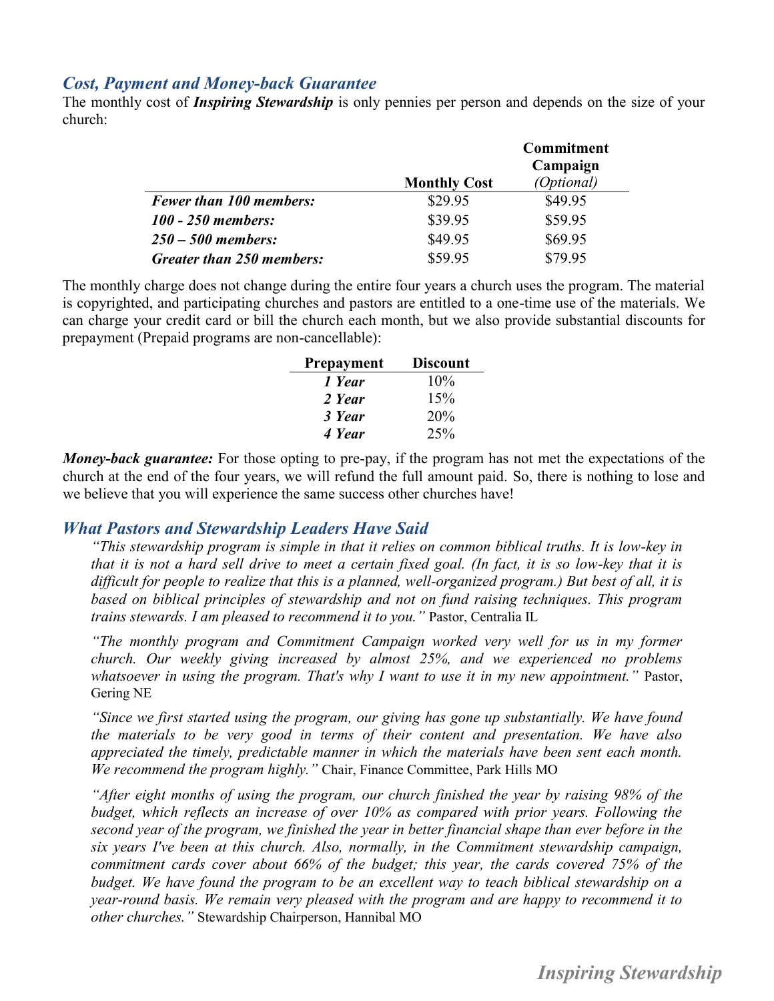#### *Cost, Payment and Money-back Guarantee*

The monthly cost of *Inspiring Stewardship* is only pennies per person and depends on the size of your church:

|                                |                     | <b>Commitment</b><br>Campaign |
|--------------------------------|---------------------|-------------------------------|
|                                | <b>Monthly Cost</b> | (Optional)                    |
| <b>Fewer than 100 members:</b> | \$29.95             | \$49.95                       |
| 100 - 250 members:             | \$39.95             | \$59.95                       |
| $250 - 500$ members:           | \$49.95             | \$69.95                       |
| Greater than 250 members:      | \$59.95             | \$79.95                       |

The monthly charge does not change during the entire four years a church uses the program. The material is copyrighted, and participating churches and pastors are entitled to a one-time use of the materials. We can charge your credit card or bill the church each month, but we also provide substantial discounts for prepayment (Prepaid programs are non-cancellable):

| <b>Prepayment</b> | <b>Discount</b> |
|-------------------|-----------------|
| 1 Year            | 10%             |
| 2 Year            | 15%             |
| 3 Year            | 20%             |
| 4 Year            | 25%             |

*Money-back guarantee:* For those opting to pre-pay, if the program has not met the expectations of the church at the end of the four years, we will refund the full amount paid. So, there is nothing to lose and we believe that you will experience the same success other churches have!

#### *What Pastors and Stewardship Leaders Have Said*

*"This stewardship program is simple in that it relies on common biblical truths. It is low-key in that it is not a hard sell drive to meet a certain fixed goal. (In fact, it is so low-key that it is difficult for people to realize that this is a planned, well-organized program.) But best of all, it is based on biblical principles of stewardship and not on fund raising techniques. This program trains stewards. I am pleased to recommend it to you."* Pastor, Centralia IL

*"The monthly program and Commitment Campaign worked very well for us in my former church. Our weekly giving increased by almost 25%, and we experienced no problems whatsoever in using the program. That's why I want to use it in my new appointment."* Pastor, Gering NE

*"Since we first started using the program, our giving has gone up substantially. We have found the materials to be very good in terms of their content and presentation. We have also appreciated the timely, predictable manner in which the materials have been sent each month. We recommend the program highly."* Chair, Finance Committee, Park Hills MO

*"After eight months of using the program, our church finished the year by raising 98% of the budget, which reflects an increase of over 10% as compared with prior years. Following the second year of the program, we finished the year in better financial shape than ever before in the six years I've been at this church. Also, normally, in the Commitment stewardship campaign, commitment cards cover about 66% of the budget; this year, the cards covered 75% of the budget. We have found the program to be an excellent way to teach biblical stewardship on a year-round basis. We remain very pleased with the program and are happy to recommend it to other churches."* Stewardship Chairperson, Hannibal MO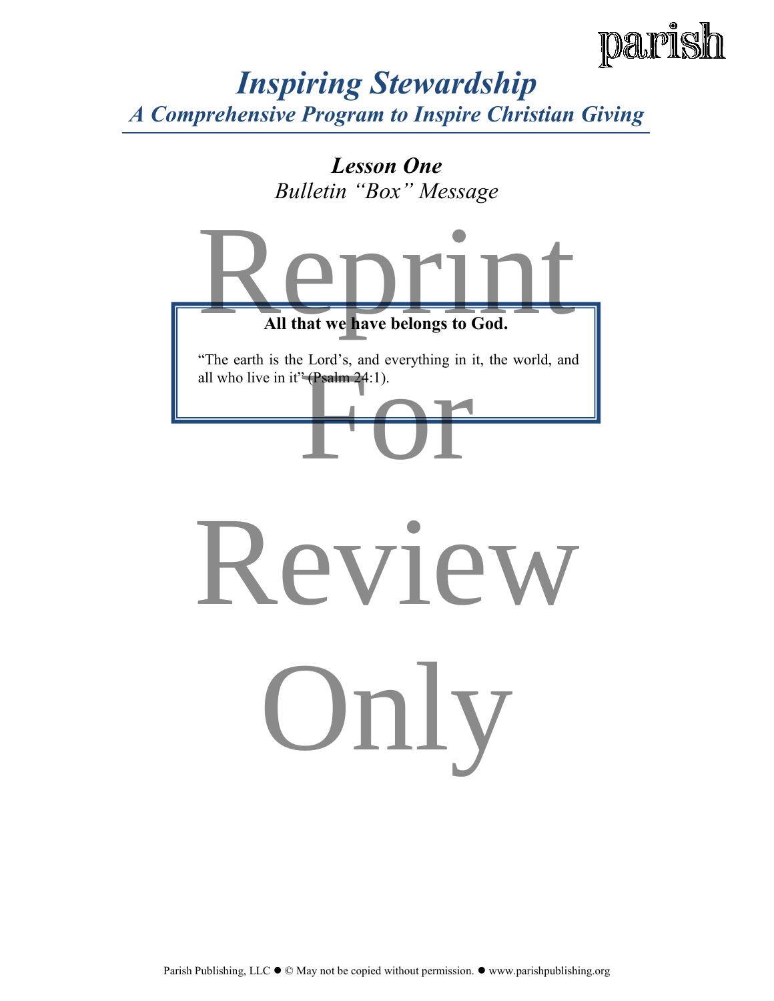

### *Lesson One Bulletin "Box" Message*



Parish Publishing, LLC  $\bullet$   $\circledcirc$  May not be copied without permission.  $\bullet$  www.parishpublishing.org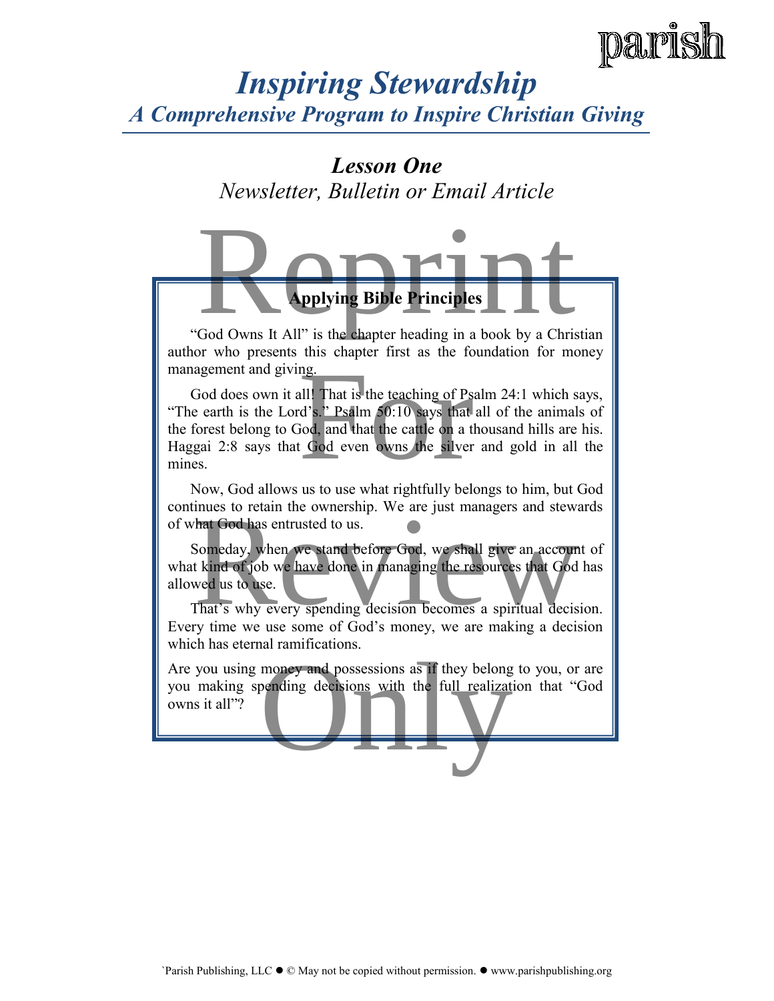### *Lesson One*

*Newsletter, Bulletin or Email Article* 



author who presents this chapter first as the foundation for money management and giving.

God does own it all! That is the teaching of Psalm 24:1 which says, "The earth is the Lord's." Psalm 50:10 says that all of the animals of the forest belong to God, and that the cattle on a thousand hills are his. Haggai 2:8 says that God even owns the silver and gold in all the mines. ng.<br>
all! That is the teaching of Psalm 2<br>
d's." Psalm 50:10 says that all of<br>
Formalism and that the cattle on a thousand<br>
Formalism and the silver and<br>
Sold even owns the silver and

Now, God allows us to use what rightfully belongs to him, but God continues to retain the ownership. We are just managers and stewards of what God has entrusted to us.

Someday, when we stand before God, we shall give an account of what kind of job we have done in managing the resources that God has allowed us to use. hat God has entrusted to us.<br>Someday, when we stand before God, we shall give an account of<br>t kind of job we have done in managing the resources that God has<br>wed us to use.<br>That's why every spending decision becomes a spir

That's why every spending decision becomes a spiritual decision. Every time we use some of God's money, we are making a decision which has eternal ramifications.

Are you using money and possessions as if they belong to you, or are you making spending decisions with the full realization that "God owns it all"? you making spending decisions with the full realization that "God owns it all"?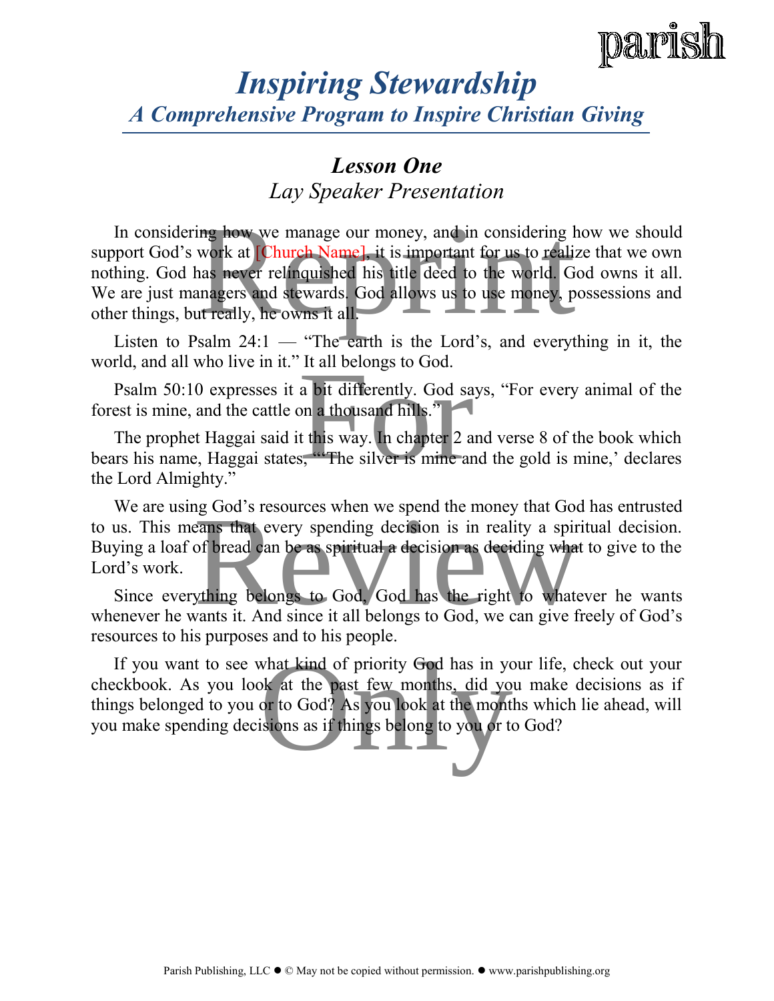

### *Lesson One*

*Lay Speaker Presentation* 

In considering how we manage our money, and in considering how we should support God's work at [Church Name], it is important for us to realize that we own nothing. God has never relinquished his title deed to the world. God owns it all. We are just managers and stewards. God allows us to use money, possessions and other things, but really, he owns it all. ing how we manage our money, and in considering how<br>work at [Church Name], it is important for us to realize th<br>has never relinquished his title deed to the world. God o<br>magers and stewards. God allows us to use money, pos

Listen to Psalm  $24:1$  — "The earth is the Lord's, and everything in it, the world, and all who live in it." It all belongs to God.

Psalm 50:10 expresses it a bit differently. God says, "For every animal of the forest is mine, and the cattle on a thousand hills."

The prophet Haggai said it this way. In chapter 2 and verse 8 of the book which bears his name, Haggai states, "'The silver is mine and the gold is mine,' declares the Lord Almighty." The an belongs to God.<br>
a bit differently. God says, '<br>
on a thousand hills."<br>
t this way. In chapter 2 and v<br>
is, "The silver is mine and the

We are using God's resources when we spend the money that God has entrusted to us. This means that every spending decision is in reality a spiritual decision. Buying a loaf of bread can be as spiritual a decision as deciding what to give to the Lord's work. resources when we spend the money that God has<br>eans that every spending decision is in reality a spiritual<br>of bread can be as spiritual a decision as deciding what to g<br>whing belongs to God, God has the right to whatever<br>w

Since everything belongs to God, God has the right to whatever he wants whenever he wants it. And since it all belongs to God, we can give freely of God's resources to his purposes and to his people.

If you want to see what kind of priority God has in your life, check out your checkbook. As you look at the past few months, did you make decisions as if things belonged to you or to God? As you look at the months which lie ahead, will you make spending decisions as if things belong to you or to God? what kind of priority God has in your l<br>bk at the past few months, did you m<br>or to God? As you look at the months w<br>isions as if things belong to you or to Go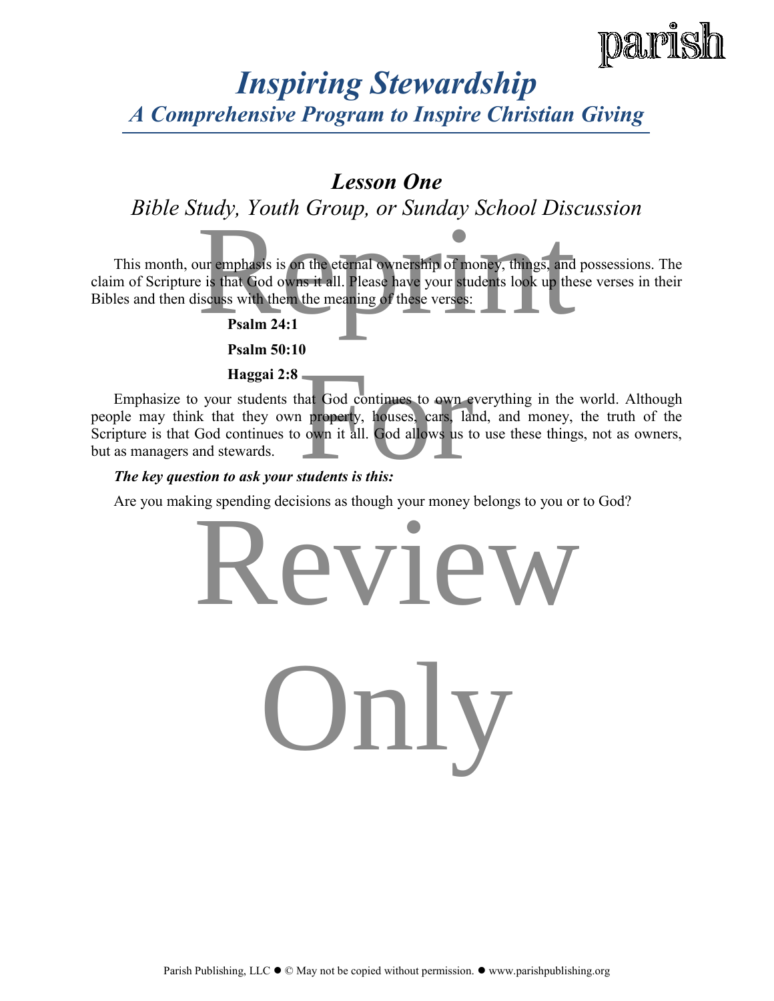### *Lesson One*

*Bible Study, Youth Group, or Sunday School Discussion* 

This month, our emphasis is on the eternal ownership of money, things, and possessions. The claim of Scripture is that God owns it all. Please have your students look up these verses in their Bibles and then discuss with them the meaning of these verses: Figure 1.1<br>
The evolution of the example of the set of things, and posses is that God owns it all. Please have your students look up these verses:<br> **Property:** Psalm 24:1

**Psalm 24:1** 

 **Psalm 50:10** 

 **Haggai 2:8** 

Emphasize to your students that God continues to own everything in the world. Although people may think that they own property, houses, cars, land, and money, the truth of the Scripture is that God continues to own it all. God allows us to use these things, not as owners, but as managers and stewards. hat God continues to own everyt<br>
a property, houses, cars, land, a<br>
own it all. God allows us to use<br>
students is this:

*The key question to ask your students is this:*

Are you making spending decisions as though your money belongs to you or to God?

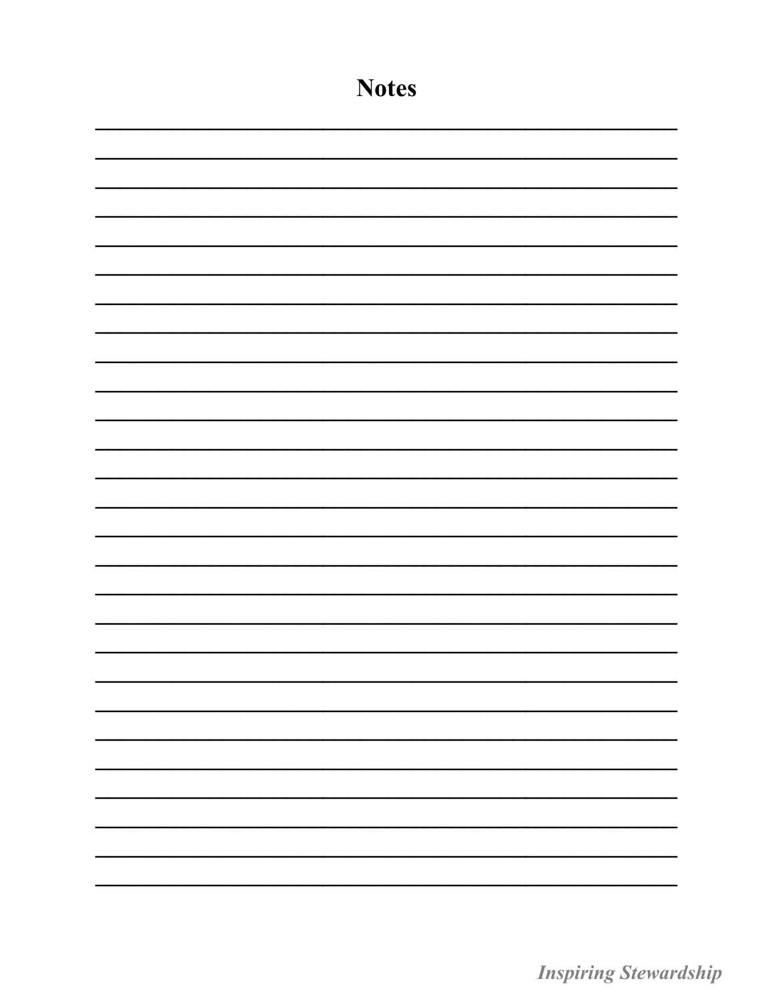| <b>Notes</b> |
|--------------|
|              |
|              |
|              |
|              |
|              |
|              |
|              |
|              |
|              |
|              |
|              |
|              |
|              |
|              |
|              |
|              |
|              |
|              |
|              |
|              |
|              |
|              |
|              |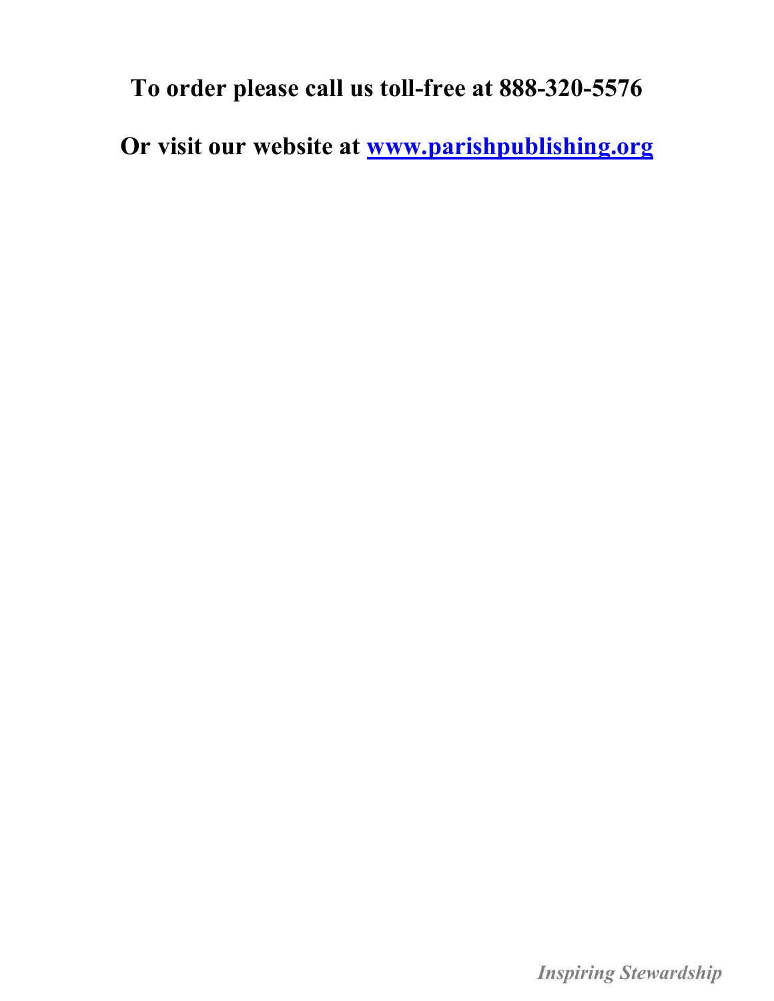**To order please call us toll-free at 888-320-5576** 

**Or visit our website at [www.parishpublishing.org](http://parishpublishing.org/programs_monthly.asp)**